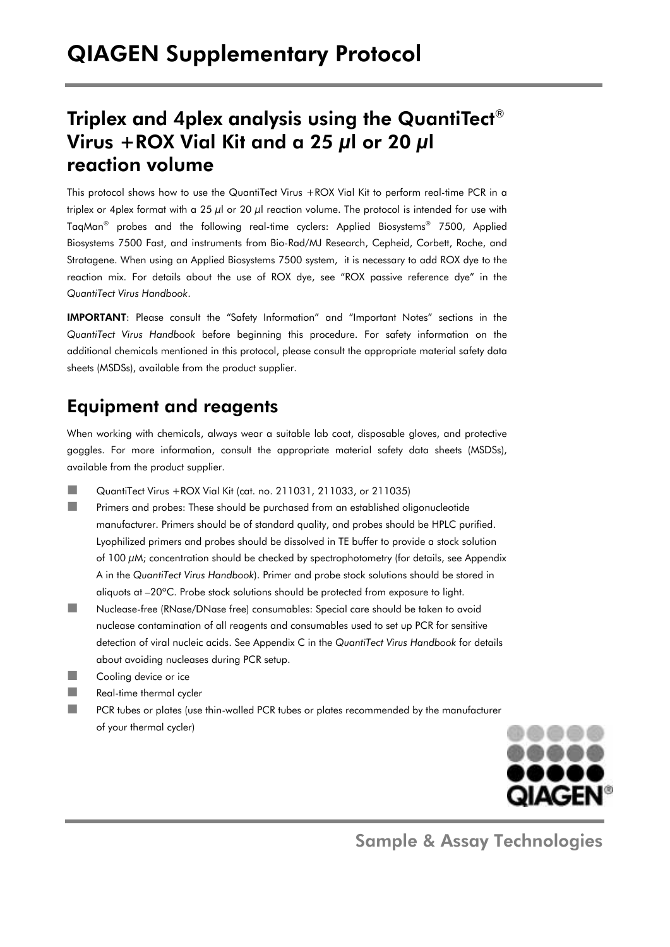## Triplex and 4plex analysis using the QuantiTect $^\circ$ Virus +ROX Vial Kit and a 25  $\mu$ l or 20  $\mu$ l reaction volume

This protocol shows how to use the QuantiTect Virus +ROX Vial Kit to perform real-time PCR in a triplex or 4plex format with a 25  $\mu$ l or 20  $\mu$ l reaction volume. The protocol is intended for use with TaqMan® probes and the following real-time cyclers: Applied Biosystems® 7500, Applied Biosystems 7500 Fast, and instruments from Bio-Rad/MJ Research, Cepheid, Corbett, Roche, and Stratagene. When using an Applied Biosystems 7500 system, it is necessary to add ROX dye to the reaction mix. For details about the use of ROX dye, see "ROX passive reference dye" in the *QuantiTect Virus Handbook*.

IMPORTANT: Please consult the "Safety Information" and "Important Notes" sections in the *QuantiTect Virus Handbook* before beginning this procedure. For safety information on the additional chemicals mentioned in this protocol, please consult the appropriate material safety data sheets (MSDSs), available from the product supplier.

## Equipment and reagents

When working with chemicals, always wear a suitable lab coat, disposable gloves, and protective goggles. For more information, consult the appropriate material safety data sheets (MSDSs), available from the product supplier.

- $\Box$  QuantiTect Virus + ROX Vial Kit (cat. no. 211031, 211033, or 211035)
- **Primers and probes: These should be purchased from an established oligonucleotide** manufacturer. Primers should be of standard quality, and probes should be HPLC purified. Lyophilized primers and probes should be dissolved in TE buffer to provide a stock solution of 100 μM; concentration should be checked by spectrophotometry (for details, see Appendix A in the *QuantiTect Virus Handbook*). Primer and probe stock solutions should be stored in aliquots at –20ºC. Probe stock solutions should be protected from exposure to light.
- Nuclease-free (RNase/DNase free) consumables: Special care should be taken to avoid nuclease contamination of all reagents and consumables used to set up PCR for sensitive detection of viral nucleic acids. See Appendix C in the *QuantiTect Virus Handbook* for details about avoiding nucleases during PCR setup.
- **Cooling device or ice**
- Real-time thermal cycler
- **PCR** tubes or plates (use thin-walled PCR tubes or plates recommended by the manufacturer of your thermal cycler)



Sample & Assay Technologies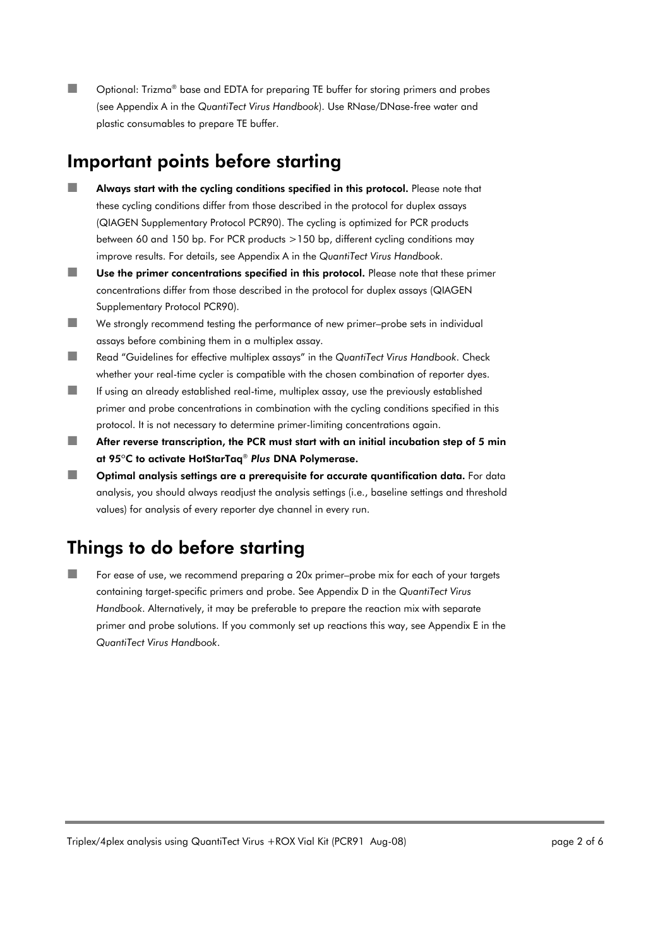■■ Optional: Trizma® base and EDTA for preparing TE buffer for storing primers and probes (see Appendix A in the *QuantiTect Virus Handbook*). Use RNase/DNase-free water and plastic consumables to prepare TE buffer.

### Important points before starting

- **Always start with the cycling conditions specified in this protocol.** Please note that these cycling conditions differ from those described in the protocol for duplex assays (QIAGEN Supplementary Protocol PCR90). The cycling is optimized for PCR products between 60 and 150 bp. For PCR products >150 bp, different cycling conditions may improve results. For details, see Appendix A in the *QuantiTect Virus Handbook*.
- Use the primer concentrations specified in this protocol. Please note that these primer concentrations differ from those described in the protocol for duplex assays (QIAGEN Supplementary Protocol PCR90).
- We strongly recommend testing the performance of new primer–probe sets in individual assays before combining them in a multiplex assay.
- Read "Guidelines for effective multiplex assays" in the *QuantiTect Virus Handbook*. Check whether your real-time cycler is compatible with the chosen combination of reporter dyes.
- If using an already established real-time, multiplex assay, use the previously established primer and probe concentrations in combination with the cycling conditions specified in this protocol. It is not necessary to determine primer-limiting concentrations again.
- $\blacksquare$  After reverse transcription, the PCR must start with an initial incubation step of 5 min at 95ºC to activate HotStarTaq® *Plus* DNA Polymerase.
- $\Box$  Optimal analysis settings are a prerequisite for accurate quantification data. For data analysis, you should always readjust the analysis settings (i.e., baseline settings and threshold values) for analysis of every reporter dye channel in every run.

# Things to do before starting

 For ease of use, we recommend preparing a 20x primer–probe mix for each of your targets containing target-specific primers and probe. See Appendix D in the *QuantiTect Virus Handbook*. Alternatively, it may be preferable to prepare the reaction mix with separate primer and probe solutions. If you commonly set up reactions this way, see Appendix E in the *QuantiTect Virus Handbook*.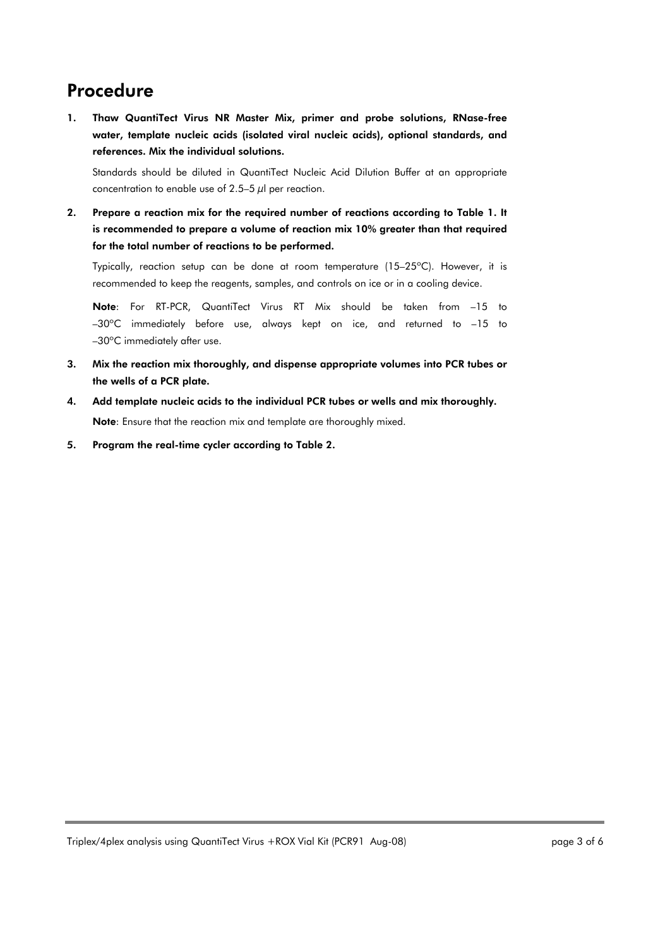### Procedure

1. Thaw QuantiTect Virus NR Master Mix, primer and probe solutions, RNase-free water, template nucleic acids (isolated viral nucleic acids), optional standards, and references. Mix the individual solutions.

Standards should be diluted in QuantiTect Nucleic Acid Dilution Buffer at an appropriate concentration to enable use of 2.5–5  $\mu$ l per reaction.

2. Prepare a reaction mix for the required number of reactions according to Table 1. It is recommended to prepare a volume of reaction mix 10% greater than that required for the total number of reactions to be performed.

Typically, reaction setup can be done at room temperature (15–25ºC). However, it is recommended to keep the reagents, samples, and controls on ice or in a cooling device.

Note: For RT-PCR, QuantiTect Virus RT Mix should be taken from –15 to –30ºC immediately before use, always kept on ice, and returned to –15 to –30ºC immediately after use.

- 3. Mix the reaction mix thoroughly, and dispense appropriate volumes into PCR tubes or the wells of a PCR plate.
- 4. Add template nucleic acids to the individual PCR tubes or wells and mix thoroughly. Note: Ensure that the reaction mix and template are thoroughly mixed.
- 5. Program the real-time cycler according to Table 2.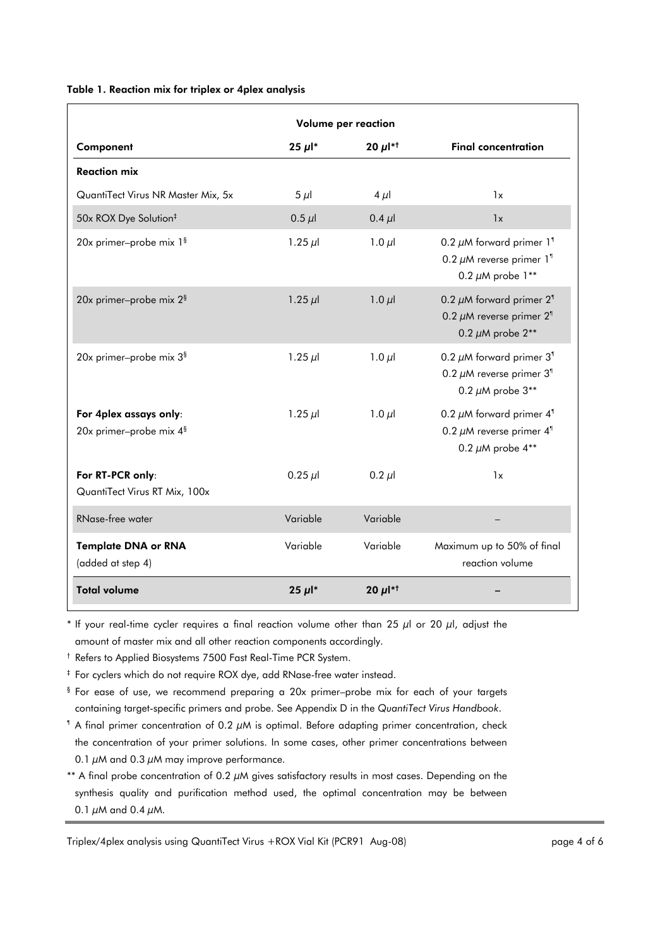#### Table 1. Reaction mix for triplex or 4plex analysis

|                                                               | Volume per reaction   |                          |                                                                                                                      |  |  |
|---------------------------------------------------------------|-----------------------|--------------------------|----------------------------------------------------------------------------------------------------------------------|--|--|
| Component                                                     | $25 \mu$ <sup>*</sup> | 20 $\mu$ l <sup>*†</sup> | <b>Final concentration</b>                                                                                           |  |  |
| <b>Reaction mix</b>                                           |                       |                          |                                                                                                                      |  |  |
| QuantiTect Virus NR Master Mix, 5x                            | $5 \mu$               | $4 \mu$                  | 1x                                                                                                                   |  |  |
| 50x ROX Dye Solution <sup>‡</sup>                             | $0.5 \mu$             | $0.4 \mu$                | 1x                                                                                                                   |  |  |
| 20x primer-probe mix 1 <sup>§</sup>                           | 1.25 $\mu$            | $1.0 \mu$                | 0.2 $\mu$ M forward primer 1 <sup>1</sup><br>0.2 $\mu$ M reverse primer 1 <sup>1</sup><br>0.2 $\mu$ M probe 1**      |  |  |
| 20x primer-probe mix 2 <sup>§</sup>                           | 1.25 $\mu$            | 1.0 $\mu$                | 0.2 $\mu$ M forward primer 2 <sup>1</sup><br>0.2 $\mu$ M reverse primer 2 <sup>1</sup><br>0.2 $\mu$ M probe $2^{**}$ |  |  |
| 20x primer-probe mix 3 <sup>§</sup>                           | 1.25 $\mu$ l          | $1.0 \mu$                | 0.2 $\mu$ M forward primer 3 <sup>1</sup><br>0.2 $\mu$ M reverse primer 3 <sup>1</sup><br>0.2 $\mu$ M probe 3**      |  |  |
| For 4plex assays only:<br>20x primer-probe mix 4 <sup>§</sup> | 1.25 $\mu$            | $1.0 \mu$                | 0.2 $\mu$ M forward primer 4 <sup>1</sup><br>0.2 $\mu$ M reverse primer 4 <sup>1</sup><br>0.2 $\mu$ M probe 4**      |  |  |
| For RT-PCR only:<br>QuantiTect Virus RT Mix, 100x             | $0.25 \mu$            | $0.2 \mu$                | 1x                                                                                                                   |  |  |
| RNase-free water                                              | Variable              | Variable                 |                                                                                                                      |  |  |
| <b>Template DNA or RNA</b><br>(added at step 4)               | Variable              | Variable                 | Maximum up to 50% of final<br>reaction volume                                                                        |  |  |
| <b>Total volume</b>                                           | 25 $\mu$ <sup>*</sup> | 20 $\mu$ l <sup>*†</sup> |                                                                                                                      |  |  |

\* If your real-time cycler requires a final reaction volume other than 25  $\mu$ l or 20  $\mu$ l, adjust the amount of master mix and all other reaction components accordingly.

† Refers to Applied Biosystems 7500 Fast Real-Time PCR System.

‡ For cyclers which do not require ROX dye, add RNase-free water instead.

- § For ease of use, we recommend preparing a 20x primer–probe mix for each of your targets containing target-specific primers and probe. See Appendix D in the *QuantiTect Virus Handbook*.
- $\textsuperscript{4}$  A final primer concentration of 0.2  $\mu$ M is optimal. Before adapting primer concentration, check the concentration of your primer solutions. In some cases, other primer concentrations between 0.1  $\mu$ M and 0.3  $\mu$ M may improve performance.
- \*\* A final probe concentration of 0.2  $\mu$ M gives satisfactory results in most cases. Depending on the synthesis quality and purification method used, the optimal concentration may be between 0.1  $\mu$ M and 0.4  $\mu$ M.

Triplex/4plex analysis using QuantiTect Virus +ROX Vial Kit (PCR91 Aug-08) Triplex/4plex analysis using QuantiTect Virus +ROX Vial Kit (PCR91 Aug-08)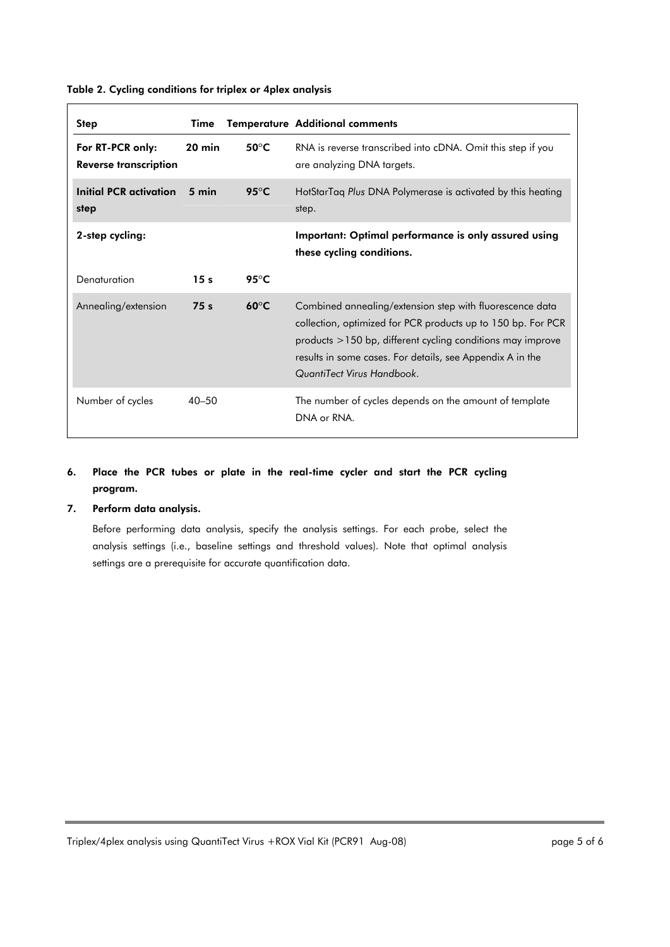| <b>Step</b>                               | Time            |                         | <b>Temperature Additional comments</b>                                                                                                                                                                                                                                                   |
|-------------------------------------------|-----------------|-------------------------|------------------------------------------------------------------------------------------------------------------------------------------------------------------------------------------------------------------------------------------------------------------------------------------|
| For RT-PCR only:<br>Reverse transcription | $20$ min        | 50 $\mathrm{^{\circ}C}$ | RNA is reverse transcribed into cDNA. Omit this step if you<br>are analyzing DNA targets.                                                                                                                                                                                                |
| Initial PCR activation<br>step            | 5 min           | 95 $\mathrm{^{\circ}C}$ | HotStarTaq Plus DNA Polymerase is activated by this heating<br>step.                                                                                                                                                                                                                     |
| 2-step cycling:                           |                 |                         | Important: Optimal performance is only assured using<br>these cycling conditions.                                                                                                                                                                                                        |
| Denaturation                              | 15 <sub>s</sub> | 95 $\mathrm{^{\circ}C}$ |                                                                                                                                                                                                                                                                                          |
| Annealing/extension                       | 75 <sub>s</sub> | $60^{\circ}$ C          | Combined annealing/extension step with fluorescence data<br>collection, optimized for PCR products up to 150 bp. For PCR<br>$p$ products $>$ 150 bp, different cycling conditions may improve<br>results in some cases. For details, see Appendix A in the<br>QuantiTect Virus Handbook. |
| Number of cycles                          | $40 - 50$       |                         | The number of cycles depends on the amount of template<br>DNA or RNA.                                                                                                                                                                                                                    |

#### Table 2. Cycling conditions for triplex or 4plex analysis

### 6. Place the PCR tubes or plate in the real-time cycler and start the PCR cycling program.

#### 7. Perform data analysis.

Before performing data analysis, specify the analysis settings. For each probe, select the analysis settings (i.e., baseline settings and threshold values). Note that optimal analysis settings are a prerequisite for accurate quantification data.